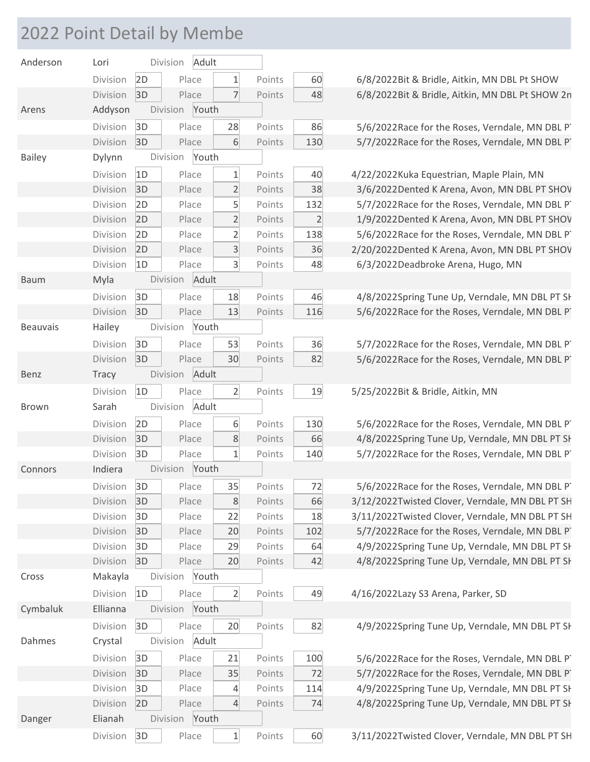## 2022 Point Detail by Membe

| Anderson        | Lori     |    | Division       | Adult |                |        |                |
|-----------------|----------|----|----------------|-------|----------------|--------|----------------|
|                 | Division | 2D |                | Place | $\mathbf{1}$   | Points | 60             |
|                 | Division | 3D |                | Place | $\overline{7}$ | Points | 48             |
| Arens           | Addyson  |    | Division Youth |       |                |        |                |
|                 | Division | 3D |                | Place | 28             | Points | 86             |
|                 | Division | 3D |                | Place | 6              | Points | 130            |
| <b>Bailey</b>   | Dylynn   |    | Division Youth |       |                |        |                |
|                 | Division | 1D |                | Place | $\overline{1}$ | Points | 40             |
|                 | Division | 3D |                | Place | $\overline{2}$ | Points | 38             |
|                 | Division | 2D |                | Place | 5              | Points | 132            |
|                 | Division | 2D |                | Place | $\overline{2}$ | Points | $\overline{2}$ |
|                 | Division | 2D |                | Place | $\overline{2}$ | Points | 138            |
|                 | Division | 2D | Place          |       | $\overline{3}$ | Points | 36             |
|                 | Division | 1D |                | Place | 3              | Points | 48             |
| <b>Baum</b>     | Myla     |    | Division Adult |       |                |        |                |
|                 | Division | 3D |                | Place | 18             | Points | 46             |
|                 | Division | 3D |                | Place | 13             | Points | 116            |
| <b>Beauvais</b> | Hailey   |    | Division Youth |       |                |        |                |
|                 | Division | 3D |                | Place | 53             | Points | 36             |
|                 | Division | 3D |                | Place | 30             | Points | 82             |
| Benz            | Tracy    |    | Division Adult |       |                |        |                |
|                 | Division | 1D |                | Place | $\overline{2}$ | Points | 19             |
|                 |          |    |                |       |                |        |                |
| <b>Brown</b>    | Sarah    |    | Division       | Adult |                |        |                |
|                 | Division | 2D |                | Place | 6              | Points | 130            |
|                 | Division | 3D |                | Place | 8              | Points | 66             |
|                 | Division | 3D |                | Place | $\mathbf{1}$   | Points | 140            |
| Connors         | Indiera  |    | Division       | Youth |                |        |                |
|                 | Division |    | 3D Place       |       |                | Points | 72             |
|                 | Division | 3D |                | Place | 35<br>8        | Points | 66             |
|                 | Division | 3D |                | Place | 22             | Points | 18             |
|                 | Division | 3D |                | Place | 20             | Points | 102            |
|                 | Division | 3D |                | Place | 29             | Points | 64             |
|                 | Division | 3D |                | Place | 20             | Points | 42             |
| Cross           | Makayla  |    | Division       | Youth |                |        |                |
|                 | Division | 1D |                | Place | $\overline{2}$ | Points | 49             |
| Cymbaluk        | Ellianna |    | Division       | Youth |                |        |                |
|                 | Division | 3D |                | Place | 20             | Points | 82             |
| Dahmes          | Crystal  |    | Division       | Adult |                |        |                |
|                 | Division | 3D |                | Place | 21             | Points | 100            |
|                 | Division | 3D |                | Place | 35             | Points | 72             |
|                 | Division | 3D |                | Place | $\overline{4}$ | Points | 114            |
|                 | Division | 2D |                | Place | 4              | Points | 74             |
| Danger          | Elianah  |    | Division       | Youth |                |        |                |

6/8/2022Bit & Bridle, Aitkin, MN DBL Pt SHOW 6/8/2022Bit & Bridle, Aitkin, MN DBL Pt SHOW 2n

5/6/2022Race for the Roses, Verndale, MN DBL PT 5/7/2022Race for the Roses, Verndale, MN DBL PT

4/22/2022Kuka Equestrian, Maple Plain, MN 3/6/2022Dented K Arena, Avon, MN DBL PT SHOV 5/7/2022 Race for the Roses, Verndale, MN DBL PT 1/9/2022Dented K Arena, Avon, MN DBL PT SHOV 5/6/2022Race for the Roses, Verndale, MN DBL PT 2/20/2022Dented K Arena, Avon, MN DBL PT SHOV 6/3/2022Deadbroke Arena, Hugo, MN

4/8/2022Spring Tune Up, Verndale, MN DBL PT SH 5/6/2022Race for the Roses, Verndale, MN DBL PT

5/7/2022Race for the Roses, Verndale, MN DBL PT 5/6/2022Race for the Roses, Verndale, MN DBL PT

5/25/2022Bit & Bridle, Aitkin, MN

5/6/2022 Race for the Roses, Verndale, MN DBL PT 4/8/2022Spring Tune Up, Verndale, MN DBL PT SH 5/7/2022Race for the Roses, Verndale, MN DBL PT

5/6/2022Race for the Roses, Verndale, MN DBL PT 3/12/2022Twisted Clover, Verndale, MN DBL PT SH 3/11/2022Twisted Clover, Verndale, MN DBL PT SH 5/7/2022Race for the Roses, Verndale, MN DBL PT 4/9/2022Spring Tune Up, Verndale, MN DBL PT SH 4/8/2022Spring Tune Up, Verndale, MN DBL PT SH

4/16/2022Lazy S3 Arena, Parker, SD

4/9/2022Spring Tune Up, Verndale, MN DBL PT SH

5/6/2022Race for the Roses, Verndale, MN DBL PT 5/7/2022Race for the Roses, Verndale, MN DBL PT 4/9/2022Spring Tune Up, Verndale, MN DBL PT SH 4/8/2022Spring Tune Up, Verndale, MN DBL PT SH

3/11/2022Twisted Clover, Verndale, MN DBL PT SH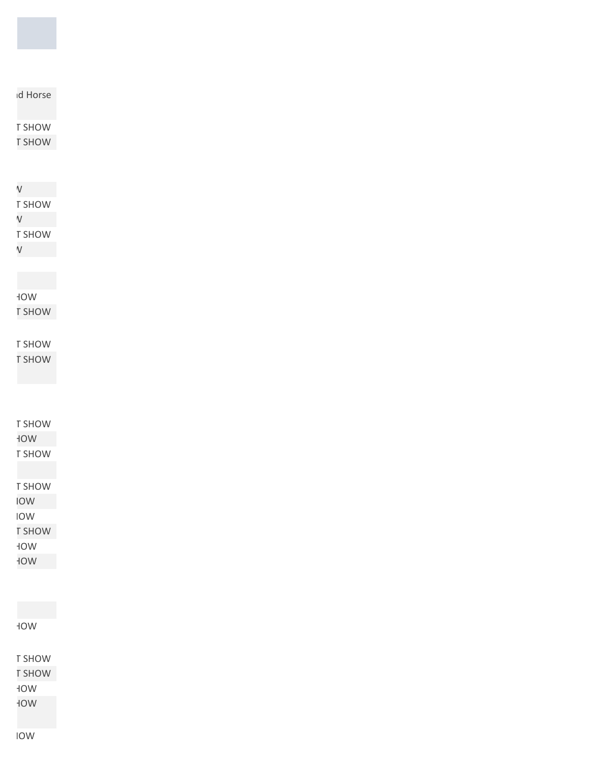**TOW** 

T SHOW

**T SHOW HOW** WO<sub>F</sub>

**Spring TOW** 

**TOW** IOW **T SHOW SPRING TOW** 

WO<sub>F</sub>

T SHOW **T SHOW** 

**NOW F** SHOW

T SHOW  $\vee$ T SHOW

 $V$ 

 $V$ 

T SHOW **T SHOW** 

d Horse

T SHOW

WO<sub>F</sub> T SHOW

T SHOW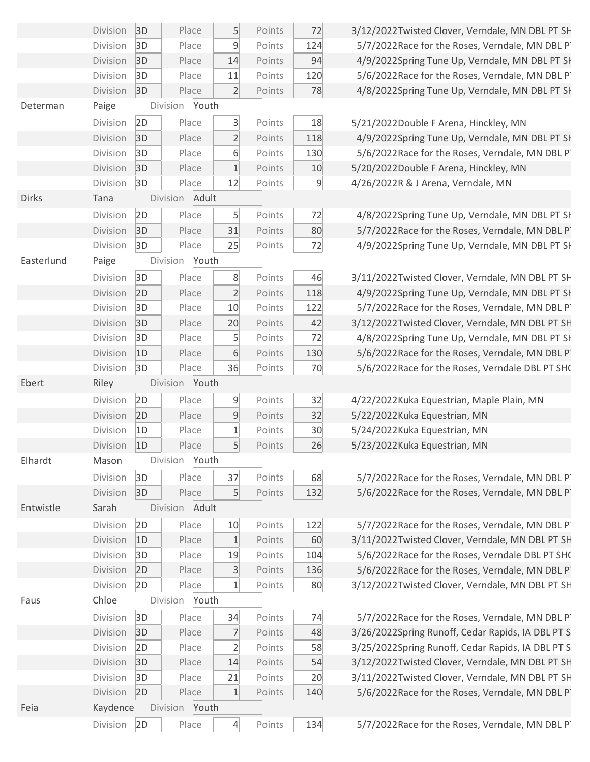|              | Division             | 3D | Place             | 5               | Points | 72  |
|--------------|----------------------|----|-------------------|-----------------|--------|-----|
|              | Division             | 3D | Place             | 9               | Points | 124 |
|              | Division             | 3D | Place             | 14              | Points | 94  |
|              | Division             | 3D | Place             | 11              | Points | 120 |
|              | Division             | 3D | Place             | $\overline{2}$  | Points | 78  |
| Determan     | Paige                |    | Division<br>Youth |                 |        |     |
|              | Division             | 2D | Place             | $\overline{3}$  | Points | 18  |
|              | Division             | 3D | Place             | $\overline{2}$  | Points | 118 |
|              | Division             | 3D | Place             | 6               | Points | 130 |
|              | Division             | 3D | Place             | $\mathbf{1}$    | Points | 10  |
|              | Division             | 3D | Place             | 12              | Points | 9   |
| <b>Dirks</b> | Tana                 |    | Division<br>Adult |                 |        |     |
|              | Division             | 2D | Place             | $5\overline{)}$ | Points | 72  |
|              | Division             | 3D | Place             | 31              | Points | 80  |
|              | Division             | 3D | Place             | 25              | Points | 72  |
| Easterlund   | Paige                |    | Youth<br>Division |                 |        |     |
|              | Division             | 3D | Place             | 8               | Points | 46  |
|              | Division             | 2D | Place             | $\overline{2}$  | Points | 118 |
|              | Division             | 3D | Place             | 10              | Points | 122 |
|              | Division             | 3D | Place             | 20              | Points | 42  |
|              | Division             | 3D | Place             | 5               | Points | 72  |
|              | Division             | 1D | Place             | 6               | Points | 130 |
|              | Division             | 3D | Place             | 36              | Points | 70  |
| Ebert        | Riley                |    | Division<br>Youth |                 |        |     |
|              | Division             | 2D | Place             | 9               | Points | 32  |
|              | Division             | 2D | Place             | 9               | Points | 32  |
|              | Division             | 1D | Place             | $\mathbf 1$     | Points | 30  |
|              | Division             | 1D | Place             | 5               | Points | 26  |
| Elhardt      | Mason                |    | Division<br>Youth |                 |        |     |
|              | Division             | 3D | Place             | 37              | Points | 68  |
|              | Division             | 3D | Place             | 5               | Points | 132 |
| Entwistle    | Sarah                |    | Division<br>Adult |                 |        |     |
|              | Division             | 2D | Place             | 10              | Points | 122 |
|              | Division             | 1D | Place             | 1               | Points | 60  |
|              | Division             | 3D | Place             | 19              | Points | 104 |
|              | Division             | 2D | Place             | 3               | Points | 136 |
|              | Division             | 2D | Place             | $\mathbf{1}$    | Points | 80  |
| Faus         | Chloe                |    | Division<br>Youth |                 |        |     |
|              | Division             | 3D | Place             | 34              | Points | 74  |
|              | Division             | 3D | Place             | 7               | Points | 48  |
|              | Division             | 2D | Place             | $\overline{2}$  | Points | 58  |
|              | Division             | 3D | Place             | 14              | Points | 54  |
|              | Division             | 3D | Place             | 21              | Points | 20  |
|              | Division             | 2D | Place             | 1               | Points | 140 |
|              |                      |    |                   |                 |        |     |
| Feia         |                      |    | Division<br>Youth |                 |        |     |
|              | Kaydence<br>Division | 2D | Place             | $\overline{4}$  | Points | 134 |

3/12/2022Twisted Clover, Verndale, MN DBL PT SH 5/7/2022Race for the Roses, Verndale, MN DBL PT 4/9/2022Spring Tune Up, Verndale, MN DBL PT SH 5/6/2022Race for the Roses, Verndale, MN DBL PT 4/8/2022Spring Tune Up, Verndale, MN DBL PT SH

5/21/2022Double F Arena, Hinckley, MN

4/9/2022Spring Tune Up, Verndale, MN DBL PT SH 5/6/2022Race for the Roses, Verndale, MN DBL PT 5/20/2022Double F Arena, Hinckley, MN 4/26/2022R & J Arena, Verndale, MN

4/8/2022Spring Tune Up, Verndale, MN DBL PT SH 5/7/2022 Race for the Roses, Verndale, MN DBL PT 4/9/2022Spring Tune Up, Verndale, MN DBL PT SH

3/11/2022Twisted Clover, Verndale, MN DBL PT SH 4/9/2022Spring Tune Up, Verndale, MN DBL PT SH 5/7/2022Race for the Roses, Verndale, MN DBL PT 3/12/2022Twisted Clover, Verndale, MN DBL PT SH 4/8/2022Spring Tune Up, Verndale, MN DBL PT SH 5/6/2022Race for the Roses, Verndale, MN DBL PT 5/6/2022Race for the Roses, Verndale DBL PT SHO

4/22/2022Kuka Equestrian, Maple Plain, MN 5/22/2022Kuka Equestrian, MN 5/24/2022Kuka Equestrian, MN 5/23/2022Kuka Equestrian, MN

5/7/2022Race for the Roses, Verndale, MN DBL PT 5/6/2022Race for the Roses, Verndale, MN DBL PT

5/7/2022Race for the Roses, Verndale, MN DBL PT 3/11/2022Twisted Clover, Verndale, MN DBL PT SH 5/6/2022Race for the Roses, Verndale DBL PT SHC 5/6/2022Race for the Roses, Verndale, MN DBL PT 3/12/2022Twisted Clover, Verndale, MN DBL PT SH

5/7/2022Race for the Roses, Verndale, MN DBL PT 3/26/2022Spring Runoff, Cedar Rapids, IA DBL PT S 3/25/2022Spring Runoff, Cedar Rapids, IA DBL PT S 3/12/2022Twisted Clover, Verndale, MN DBL PT SH 3/11/2022Twisted Clover, Verndale, MN DBL PT SH 5/6/2022Race for the Roses, Verndale, MN DBL PT

5/7/2022Race for the Roses, Verndale, MN DBL PT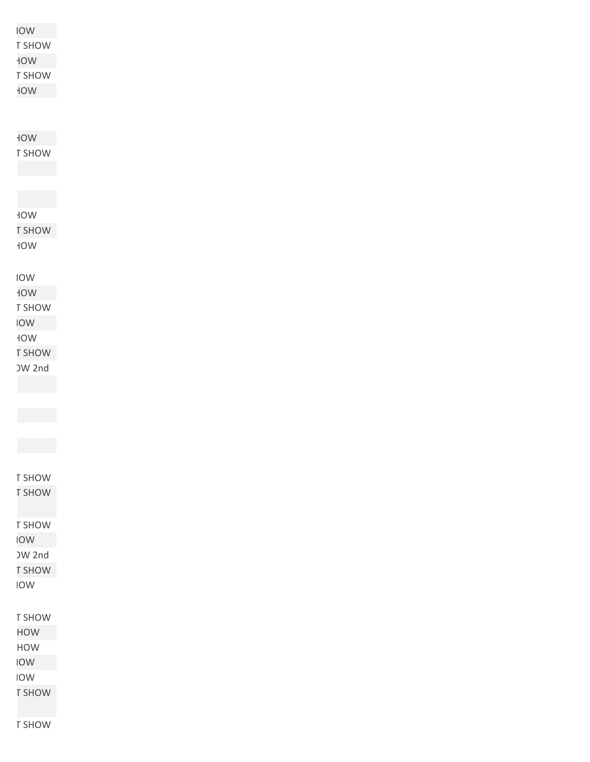| <b>NOI</b>    |
|---------------|
| T SHOW        |
| WOF           |
| T SHOW        |
| WOF           |
|               |
|               |
| WOF           |
|               |
| T SHOW        |
|               |
|               |
|               |
| WOF           |
| <b>NOH2T</b>  |
| WOF           |
|               |
|               |
| IOW           |
| WOF           |
| T SHOW        |
| <b>NOI</b>    |
| HOW           |
| <b>T SHOW</b> |
| <b>DW 2nd</b> |
|               |
|               |
|               |
|               |
|               |
|               |
|               |
| T SHOW        |
| <b>T SHOW</b> |
|               |
| T SHOW        |
| <b>NOI</b>    |
| <b>JW 2nd</b> |
| <b>T SHOW</b> |
| IOW           |
|               |
|               |
| T SHOW        |
| <b>HOW</b>    |
| HOW           |
| <b>NOI</b>    |
| IOW           |
| <b>T SHOW</b> |
|               |

**T SHOW**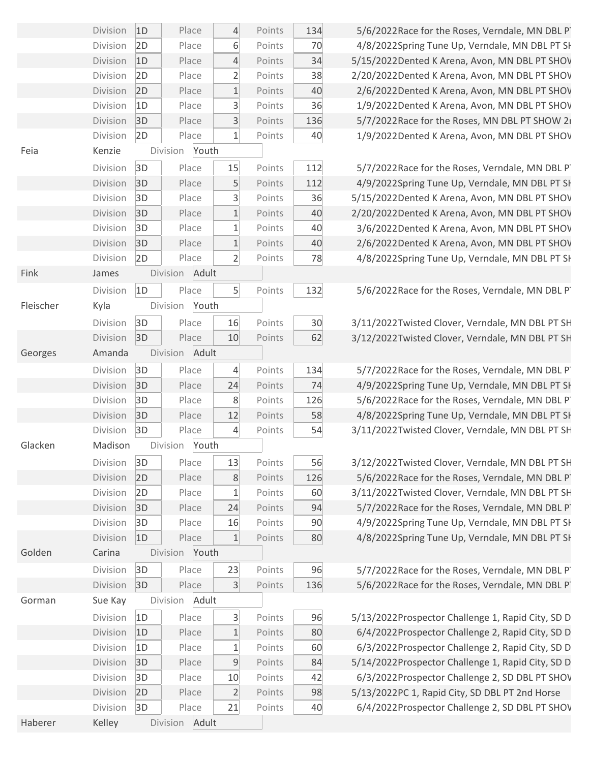|           | Division | 1D | Place    |       | $\overline{4}$ | Points | 134            |
|-----------|----------|----|----------|-------|----------------|--------|----------------|
|           | Division | 2D |          | Place | 6              | Points | 7 <sup>c</sup> |
|           | Division | 1D | Place    |       | $\overline{4}$ | Points | 34             |
|           | Division | 2D |          | Place | $\overline{2}$ | Points | 38             |
|           | Division | 2D |          | Place | $\mathbf{1}$   | Points | 4 <sub>0</sub> |
|           | Division | 1D |          | Place | 3              | Points | 36             |
|           | Division | 3D |          | Place | $\overline{3}$ | Points | 136            |
|           | Division | 2D |          | Place | $\mathbf{1}$   | Points | 4 <sub>0</sub> |
| Feia      | Kenzie   |    | Division | Youth |                |        |                |
|           | Division | 3D |          | Place | 15             | Points | 112            |
|           | Division | 3D |          | Place | 5              | Points | 112            |
|           | Division | 3D |          | Place | 3              | Points | 36             |
|           | Division | 3D |          | Place | $\mathbf 1$    | Points | 4 <sub>0</sub> |
|           | Division | 3D |          | Place | $\mathbf{1}$   | Points | 4 <sub>0</sub> |
|           | Division | 3D |          | Place | $\mathbf{1}$   | Points | 4 <sub>0</sub> |
|           | Division | 2D |          | Place | $\overline{2}$ | Points | 78             |
| Fink      | James    |    | Division | Adult |                |        |                |
|           | Division | 1D |          | Place | 5 <sup>1</sup> | Points | 132            |
| Fleischer | Kyla     |    | Division | Youth |                |        |                |
|           | Division | 3D |          | Place | 16             | Points | 3 <sub>0</sub> |
|           | Division | 3D |          | Place | 10             | Points | 62             |
| Georges   | Amanda   |    | Division | Adult |                |        |                |
|           | Division | 3D | Place    |       | 4              | Points | 134            |
|           | Division | 3D |          | Place | 24             | Points | 74             |
|           | Division | 3D |          | Place | 8              | Points | 126            |
|           | Division | 3D |          | Place | 12             | Points | 58             |
|           | Division | 3D |          | Place | 4              | Points | 54             |
| Glacken   | Madison  |    | Division | Youth |                |        |                |
|           | Division | 3D | Place    |       | 13             | Points | 56             |
|           | Division | 2D |          | Place | 8              | Points | 126            |
|           | Division | 2D |          | Place | $\mathbf{1}$   | Points | 60             |
|           | Division | 3D |          | Place | 24             | Points | 94             |
|           | Division | 3D |          | Place | 16             | Points | 90             |
|           | Division | 1D |          | Place | $1\,$          | Points | 80             |
| Golden    | Carina   |    | Division | Youth |                |        |                |
|           | Division | 3D |          | Place | 23             | Points | 96             |
|           | Division | 3D |          | Place | 3              | Points | 136            |
| Gorman    | Sue Kay  |    | Division | Adult |                |        |                |
|           | Division | 1D |          | Place | 3              | Points | 96             |
|           | Division | 1D |          | Place | $\mathbf 1$    | Points | 80             |
|           | Division | 1D |          | Place | 1              | Points | 60             |
|           | Division | 3D |          | Place | $\mathsf 9$    | Points | 84             |
|           | Division | 3D |          | Place | 10             | Points | 42             |
|           | Division | 2D |          | Place | $\overline{2}$ | Points | 98             |
|           | Division | 3D |          | Place | 21             | Points | 4 <sub>0</sub> |
| Haberer   | Kelley   |    | Division | Adult |                |        |                |

5/6/2022Race for the Roses, Verndale, MN DBL PT 4/8/2022Spring Tune Up, Verndale, MN DBL PT SH 5/15/2022Dented K Arena, Avon, MN DBL PT SHOV 2/20/2022Dented K Arena, Avon, MN DBL PT SHOV 2/6/2022Dented K Arena, Avon, MN DBL PT SHOV 1/9/2022Dented K Arena, Avon, MN DBL PT SHOV 5/7/2022Race for the Roses, MN DBL PT SHOW 2rd 1/9/2022Dented K Arena, Avon, MN DBL PT SHOV

5/7/2022Race for the Roses, Verndale, MN DBL PT 4/9/2022Spring Tune Up, Verndale, MN DBL PT SH 5/15/2022Dented K Arena, Avon, MN DBL PT SHOV 2/20/2022Dented K Arena, Avon, MN DBL PT SHOV 3/6/2022Dented K Arena, Avon, MN DBL PT SHOV 2/6/2022Dented K Arena, Avon, MN DBL PT SHOV 4/8/2022Spring Tune Up, Verndale, MN DBL PT SH

5/6/2022Race for the Roses, Verndale, MN DBL PT

3/11/2022Twisted Clover, Verndale, MN DBL PT SH 3/12/2022Twisted Clover, Verndale, MN DBL PT SH

5/7/2022Race for the Roses, Verndale, MN DBL PT 4/9/2022Spring Tune Up, Verndale, MN DBL PT SH 5/6/2022Race for the Roses, Verndale, MN DBL PT 4/8/2022Spring Tune Up, Verndale, MN DBL PT SH 3/11/2022Twisted Clover, Verndale, MN DBL PT SH

3/12/2022Twisted Clover, Verndale, MN DBL PT SH 5/6/2022Race for the Roses, Verndale, MN DBL PT 3/11/2022Twisted Clover, Verndale, MN DBL PT SH 5/7/2022Race for the Roses, Verndale, MN DBL PT 4/9/2022Spring Tune Up, Verndale, MN DBL PT SH 4/8/2022Spring Tune Up, Verndale, MN DBL PT SH

5/7/2022Race for the Roses, Verndale, MN DBL PT 5/6/2022Race for the Roses, Verndale, MN DBL PT

5/13/2022Prospector Challenge 1, Rapid City, SD D 6/4/2022Prospector Challenge 2, Rapid City, SD D 6/3/2022Prospector Challenge 2, Rapid City, SD D 5/14/2022Prospector Challenge 1, Rapid City, SD D 6/3/2022Prospector Challenge 2, SD DBL PT SHOV 5/13/2022PC 1, Rapid City, SD DBL PT 2nd Horse 6/4/2022Prospector Challenge 2, SD DBL PT SHOV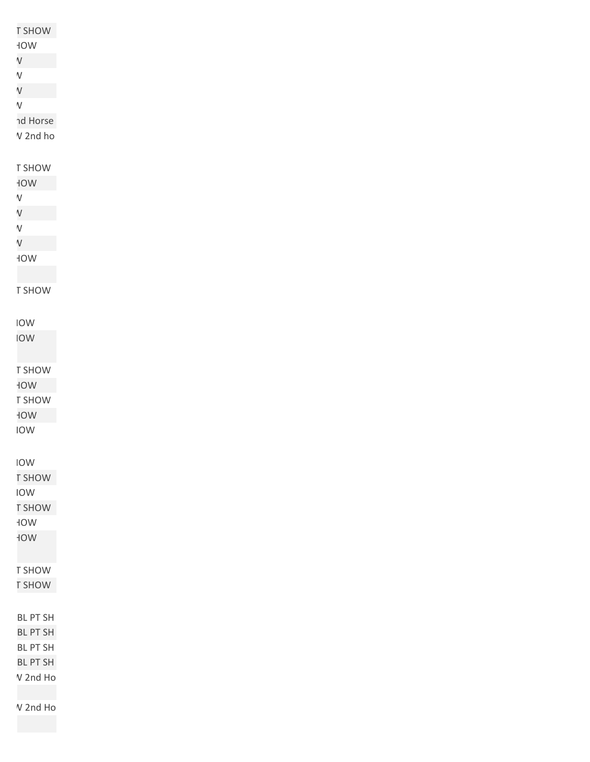| <b>T SHOW</b>      |
|--------------------|
| $\sf WOF$          |
| $\vee$             |
| $\mathsf V$        |
| $\vee$             |
| $\sf V$            |
|                    |
| nd Horse           |
| V 2nd ho           |
|                    |
| T SHOW             |
| WOF                |
| $\sf V$            |
| $\vee$             |
| $\mathsf V$        |
| $\vee$             |
|                    |
| $\sf WOF$          |
|                    |
| T SHOW             |
|                    |
| IOW                |
| <b>NOI</b>         |
|                    |
|                    |
| T SHOW             |
| WOF                |
| T SHOW             |
| WOF                |
| IOW                |
|                    |
| <b>IOW</b>         |
| <b>T SHOW</b>      |
|                    |
| IOW                |
| <b>T SHOW</b>      |
| WOF                |
| WOF                |
|                    |
| T SHOW             |
| <b>T SHOW</b>      |
|                    |
|                    |
| BL PT SH           |
| BL PT SH           |
| BL PT SH           |
| BL PT SH           |
| V 2nd Ho           |
|                    |
| $\mathsf V$ 2nd Ho |
|                    |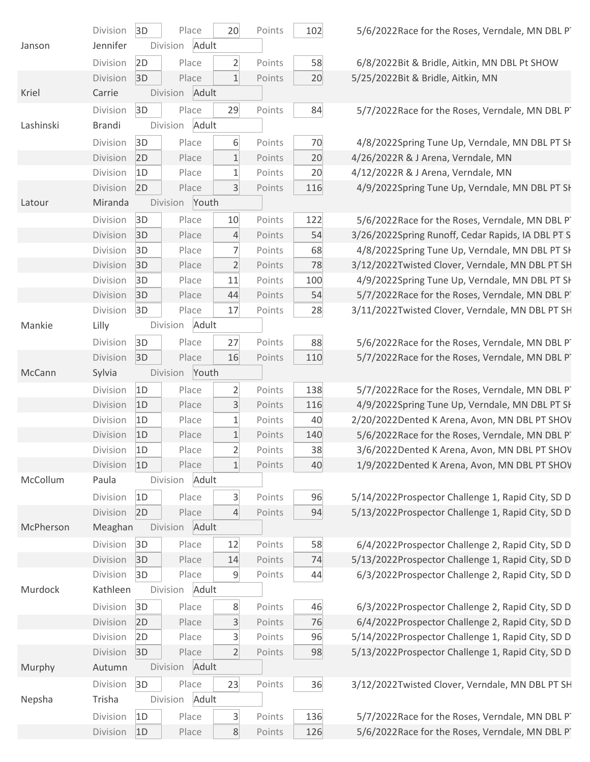|           | Division        | 3D             |                | Place | 20                      | Points | 10 <sub>1</sub> |
|-----------|-----------------|----------------|----------------|-------|-------------------------|--------|-----------------|
| Janson    | Jennifer        |                | Division Adult |       |                         |        |                 |
|           | Division        | 2D             |                | Place | $\overline{2}$          | Points | 5               |
|           | Division        | 3D             |                | Place | $\mathbf{1}$            | Points | 2 <sup>i</sup>  |
| Kriel     | Carrie          |                | Division Adult |       |                         |        |                 |
|           | Division        | 3D             |                | Place | 29                      | Points | 8 <sub>6</sub>  |
| Lashinski | <b>Brandi</b>   |                | Division Adult |       |                         |        |                 |
|           | Division        | 3D             |                | Place | 6                       | Points | $\overline{7}$  |
|           | Division        | 2D             |                | Place | $\mathbf{1}$            | Points | 2 <sup>i</sup>  |
|           | Division        | 1D             |                | Place | $\mathbf{1}$            | Points | 2 <sub>0</sub>  |
|           | Division        | 2D             |                | Place | $\overline{3}$          | Points | 11              |
| Latour    | Miranda         |                | Division Youth |       |                         |        |                 |
|           | Division        | 3D             |                | Place | 10                      | Points | 12              |
|           | Division        | 3D             |                | Place | $\overline{4}$          | Points | 5 <sub>4</sub>  |
|           | Division        | 3D             |                | Place | 7                       | Points | 6               |
|           | Division        | 3D             |                | Place | $\overline{2}$          | Points | 7 <sup>5</sup>  |
|           | Division        | 3D             |                | Place | 11                      | Points | 10 <sub>1</sub> |
|           | Division        | 3D             |                | Place | 44                      | Points | 5 <sub>4</sub>  |
|           | Division        | 3D             |                | Place | 17                      | Points | 2               |
| Mankie    | Lilly           |                | Division Adult |       |                         |        |                 |
|           | Division        | 3D             |                | Place | 27                      | Points | 8               |
|           | Division        | 3D             |                | Place | 16                      | Points | 11              |
| McCann    | Sylvia          |                | Division Youth |       |                         |        |                 |
|           | Division        | 1D             |                | Place | $\overline{2}$          | Points | 13              |
|           | Division        | 1D             |                | Place | $\overline{3}$          | Points | 11              |
|           | Division        | 1D             |                | Place | $\mathbf{1}$            | Points | 4(              |
|           | Division        | 1D             |                | Place | $\mathbf{1}$            | Points | 14              |
|           | Division        | 1D             |                | Place | $\overline{2}$          | Points | 3 <sub>i</sub>  |
|           | Division        | 1D             |                | Place | 1                       | Points | 4 <sub>l</sub>  |
| McCollum  | Paula           |                | Division       | Adult |                         |        |                 |
|           | Division        | 1D             |                | Place | $\overline{3}$          | Points | $\overline{9}$  |
|           | Division        | 2D             |                | Place | $\overline{4}$          | Points | 9 <sub>4</sub>  |
| McPherson | Meaghan         |                | Division       | Adult |                         |        |                 |
|           | Division        | 3D             |                | Place | 12                      | Points | 5               |
|           | Division        | 3D             |                | Place | 14                      | Points | 7 <sup>1</sup>  |
|           | Division        | 3D             |                | Place | 9                       | Points | 4 <sub>1</sub>  |
| Murdock   | Kathleen        |                | Division Adult |       |                         |        |                 |
|           | Division        | 3D             |                | Place | 8                       | Points | 4 <sub>1</sub>  |
|           | Division        | 2D             |                | Place | $\overline{\mathbf{3}}$ | Points | 7 <sup>1</sup>  |
|           | Division        | 2D             |                | Place | 3                       | Points | $\overline{9}$  |
|           | Division        | 3D             |                | Place | $\overline{2}$          | Points | 9               |
| Murphy    | Autumn          |                | Division       | Adult |                         |        |                 |
|           | Division        | 3D             |                | Place | 23                      | Points | $\mathsf{B}$    |
| Nepsha    | Trisha          |                | Division       | Adult |                         |        |                 |
|           | Division        | 1D             |                | Place | 3                       | Points | 13              |
|           | <b>Division</b> | 1 <sub>D</sub> |                | Place | $\mathsf{R}$            | Points | 121             |
|           |                 |                |                |       |                         |        |                 |

 $D = 5/6/2022$ Race for the Roses, Verndale, MN DBL PT

8 6/8/2022Bit & Bridle, Aitkin, MN DBL Pt SHOW<br>0 5/25/2022Bit & Bridle, Aitkin, MN 5/25/2022Bit & Bridle, Aitkin, MN

 $4$  5/7/2022 Race for the Roses, Verndale, MN DBL PT

4/8/2022Spring Tune Up, Verndale, MN DBL PT SH<br>4/26/2022R & J Arena, Verndale, MN<br>4/12/2022R & J Arena, Verndale, MN<br>4/9/2022Spring Tune Up, Verndale, MN DBL PT SH 4/26/2022R & J Arena, Verndale, MN

4/12/2022R & J Arena, Verndale, MN

4/9/2022Spring Tune Up, Verndale, MN DBL PT SH

5/6/2022Race for the Roses, Verndale, MN DBL PT<br>3/26/2022Spring Runoff, Cedar Rapids, IA DBL PT S<br>4/8/2022Spring Tune Up, Verndale, MN DBL PT SH<br>3/12/2022Twisted Clover, Verndale, MN DBL PT SH<br>5/7/2022Race for the Roses, V 3/26/2022Spring Runoff, Cedar Rapids, IA DBL PT S 4/8/2022Spring Tune Up, Verndale, MN DBL PT SH 3/12/2022Twisted Clover, Verndale, MN DBL PT SH 4/9/2022Spring Tune Up, Verndale, MN DBL PT SH 5/7/2022Race for the Roses, Verndale, MN DBL PT 3/11/2022Twisted Clover, Verndale, MN DBL PT SH

Division 3D Place 27 Points 88 5/6/2022Race for the Roses, Verndale, MN DBL PT SHOW 5/7/2022Race for the Roses, Verndale, MN DBL PT

5/7/2022Race for the Roses, Verndale, MN DBL PT<br>4/9/2022Spring Tune Up, Verndale, MN DBL PT SH<br>2/20/2022Dented K Arena, Avon, MN DBL PT SHOV<br>5/6/2022Dented K Arena, Avon, MN DBL PT SHOV<br>1/9/2022Dented K Arena, Avon, MN DBL 4/9/2022Spring Tune Up, Verndale, MN DBL PT SH 2/20/2022Dented K Arena, Avon, MN DBL PT SHOV 5/6/2022Race for the Roses, Verndale, MN DBL PT 3/6/2022Dented K Arena, Avon, MN DBL PT SHOV 1/9/2022Dented K Arena, Avon, MN DBL PT SHOV

5/14/2022Prospector Challenge 1, Rapid City, SD D<br>4 5/13/2022Prospector Challenge 1, Rapid City, SD D 5/13/2022Prospector Challenge 1, Rapid City, SD D

8 6/4/2022Prospector Challenge 2, Rapid City, SD D<br>5/13/2022Prospector Challenge 1, Rapid City, SD D<br>6/3/2022Prospector Challenge 2, Rapid City, SD D 5/13/2022Prospector Challenge 1, Rapid City, SD D 6/3/2022Prospector Challenge 2, Rapid City, SD D

6 6/3/2022Prospector Challenge 2, Rapid City, SD D<br>6 6/4/2022Prospector Challenge 2, Rapid City, SD D<br>5/14/2022Prospector Challenge 1, Rapid City, SD D<br>5/13/2022Prospector Challenge 1, Rapid City, SD D 6/4/2022Prospector Challenge 2, Rapid City, SD D 5/14/2022Prospector Challenge 1, Rapid City, SD D 5/13/2022Prospector Challenge 1, Rapid City, SD D

 $6$  3/12/2022Twisted Clover, Verndale, MN DBL PT SH

 $\frac{6}{5}$  5/7/2022Race for the Roses, Verndale, MN DBL PT  $\frac{5}{6}$  5/6/2022Race for the Roses, Verndale, MN DBL PT 5/6/2022Race for the Roses, Verndale, MN DBL PT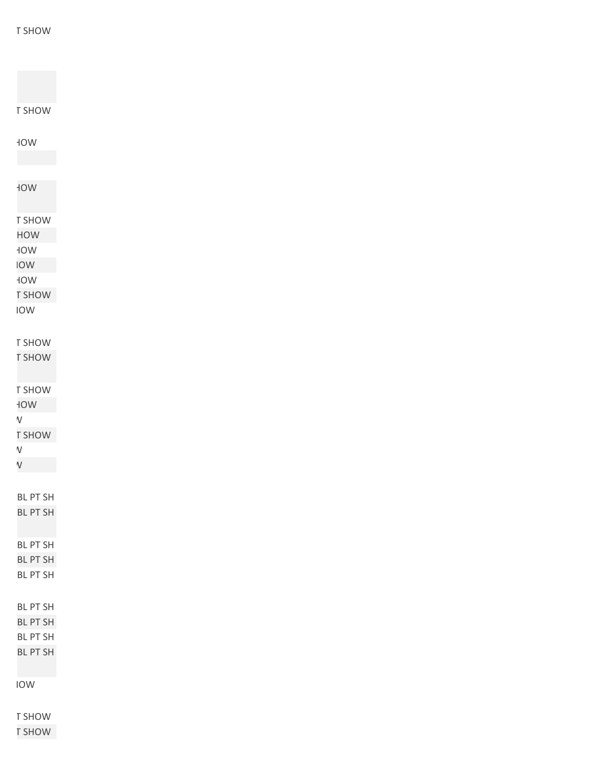| <b>T SHOW</b>   |
|-----------------|
|                 |
| <b>NOV</b>      |
|                 |
|                 |
| WOF             |
|                 |
|                 |
| <b>T SHOW</b>   |
| HOW             |
| WOŁ             |
| <b>IOW</b>      |
| WOF             |
| <b>T SHOW</b>   |
|                 |
| IOW             |
|                 |
| T SHOW          |
| <b>T SHOW</b>   |
|                 |
| T SHOW          |
|                 |
| WOF             |
| $\mathsf V$     |
| <b>T SHOW</b>   |
| $\mathsf V$     |
| $\mathsf V$     |
|                 |
| <b>BL PT SH</b> |
| <b>BL PT SH</b> |
|                 |
|                 |
| BL PT SH        |
| <b>BL PT SH</b> |
| <b>BL PT SH</b> |
|                 |
|                 |
| <b>BL PT SH</b> |
| <b>BL PT SH</b> |
| BL PT SH        |
| <b>BL PT SH</b> |
|                 |
| IOW             |
|                 |
|                 |
| T SHOW          |

**R** SHOW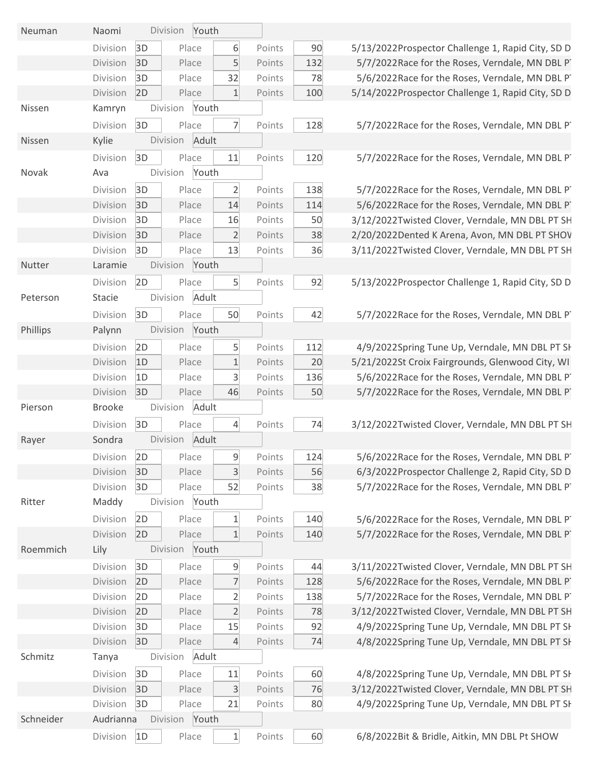| Neuman    | Naomi         |          | Division | Youth |                |                  |          |                |
|-----------|---------------|----------|----------|-------|----------------|------------------|----------|----------------|
|           | Division      | 3D       | Place    |       | 6              | Points           | 90       | 5              |
|           | Division      | 3D       | Place    |       | 5              | Points           | 132      |                |
|           | Division      | 3D       | Place    |       | 32             | Points           | 78       |                |
|           | Division      | 2D       | Place    |       | $\mathbf{1}$   | Points           | 100      | 5              |
| Nissen    | Kamryn        |          | Division | Youth |                |                  |          |                |
|           | Division      | 3D       | Place    |       | $\overline{7}$ | Points           | 128      |                |
| Nissen    | Kylie         |          | Division | Adult |                |                  |          |                |
|           | Division      | 3D       | Place    |       | 11             | Points           | 120      |                |
| Novak     | Ava           |          | Division | Youth |                |                  |          |                |
|           | Division      | 3D       | Place    |       | $\overline{2}$ | Points           | 138      |                |
|           | Division      | 3D       | Place    |       | 14             | Points           | 114      |                |
|           | Division      | 3D       | Place    |       | 16             | Points           | 50       | 3              |
|           | Division      | 3D       | Place    |       | $\overline{2}$ | Points           | 38       | $\overline{c}$ |
|           | Division      | 3D       | Place    |       | 13             | Points           | 36       | 3              |
| Nutter    | Laramie       |          | Division | Youth |                |                  |          |                |
|           | Division      | 2D       | Place    |       | 5              | Points           | 92       | 5              |
| Peterson  | <b>Stacie</b> |          | Division | Adult |                |                  |          |                |
|           | Division      | 3D       | Place    |       | 50             | Points           | 42       |                |
| Phillips  | Palynn        |          | Division | Youth |                |                  |          |                |
|           | Division      | 2D       | Place    |       | 5              | Points           | 112      |                |
|           | Division      | 1D       | Place    |       | $\overline{1}$ | Points           | 20       | 5              |
|           | Division      | 1D       | Place    |       | 3              | Points           | 136      |                |
|           | Division      | 3D       | Place    |       | 46             | Points           | 50       |                |
| Pierson   | <b>Brooke</b> |          | Division | Adult |                |                  |          |                |
|           | Division      | 3D       | Place    |       | $\overline{4}$ | Points           | 74       | 3              |
| Rayer     | Sondra        |          | Division | Adult |                |                  |          |                |
|           | Division      | 2D       | Place    |       | 9              | Points           | 124      |                |
|           | Division      | 3D       | Place    |       | $\overline{3}$ | Points           | 56       |                |
|           | Division      | 3D       | Place    |       | 52             | Points           | 38       |                |
| Ritter    | Maddy         |          | Division | Youth |                |                  |          |                |
|           | Division      | 2D       | Place    |       | $\mathbf{1}$   | Points           | 140      |                |
|           | Division      | 2D       | Place    |       | $\mathbf{1}$   | Points           | 140      |                |
| Roemmich  | Lily          |          | Division | Youth |                |                  |          |                |
|           | Division      | 3D       | Place    |       | 9              | Points           | 44       | 3              |
|           | Division      | 2D       | Place    |       | $\overline{7}$ | Points           | 128      |                |
|           | Division      | 2D       | Place    |       | $\overline{2}$ | Points           | 138      |                |
|           | Division      | 2D       | Place    |       | $\overline{2}$ | Points           | 78       | 3              |
|           | Division      | 3D       | Place    |       | 15             | Points           | 92       |                |
|           | Division      | 3D       | Place    |       | 4              | Points           | 74       |                |
| Schmitz   | Tanya         |          | Division | Adult |                |                  |          |                |
|           | Division      |          | Place    |       | 11             |                  |          |                |
|           | Division      | 3D<br>3D | Place    |       | $\overline{3}$ | Points<br>Points | 60<br>76 | 3              |
|           | Division      | 3D       | Place    |       | 21             | Points           | 80       |                |
| Schneider | Audrianna     |          | Division | Youth |                |                  |          |                |
|           |               |          |          |       |                |                  |          |                |
|           | Division      | 1D       | Place    |       | $\mathbf{1}$   | Points           | 60       |                |

 $D/13/2022$ Prospector Challenge 1, Rapid City, SD D 5/7/2022Race for the Roses, Verndale, MN DBL PT 5/6/2022Race for the Roses, Verndale, MN DBL PT division 2012 Prospector Challenge 1, Rapid City, SD D

5/7/2022Race for the Roses, Verndale, MN DBL PT

5/7/2022Race for the Roses, Verndale, MN DBL PT

5/7/2022 Race for the Roses, Verndale, MN DBL PT 5/6/2022Race for the Roses, Verndale, MN DBL PT 012/2022Twisted Clover, Verndale, MN DBL PT SH 2/20/2022Dented K Arena, Avon, MN DBL PT SHOV 3/11/2022Twisted Clover, Verndale, MN DBL PT SH

 $D/13/2022$ Prospector Challenge 1, Rapid City, SD D

5/7/2022Race for the Roses, Verndale, MN DBL PT

4/9/2022Spring Tune Up, Verndale, MN DBL PT SH  $D/21/2022$ St Croix Fairgrounds, Glenwood City, WI 5/6/2022Race for the Roses, Verndale, MN DBL PT 5/7/2022Race for the Roses, Verndale, MN DBL PT

012/2022Twisted Clover, Verndale, MN DBL PT SH

5/6/2022Race for the Roses, Verndale, MN DBL PT 6/3/2022Prospector Challenge 2, Rapid City, SD D 5/7/2022Race for the Roses, Verndale, MN DBL PT

5/6/2022Race for the Roses, Verndale, MN DBL PT 5/7/2022Race for the Roses, Verndale, MN DBL PT

1/2022Twisted Clover, Verndale, MN DBL PT SH 5/6/2022Race for the Roses, Verndale, MN DBL PT 5/7/2022Race for the Roses, Verndale, MN DBL PT 0/12/2022Twisted Clover, Verndale, MN DBL PT SH 4/9/2022Spring Tune Up, Verndale, MN DBL PT SH 4/8/2022Spring Tune Up, Verndale, MN DBL PT SH

4/8/2022Spring Tune Up, Verndale, MN DBL PT SH 012/2022Twisted Clover, Verndale, MN DBL PT SH 4/9/2022Spring Tune Up, Verndale, MN DBL PT SH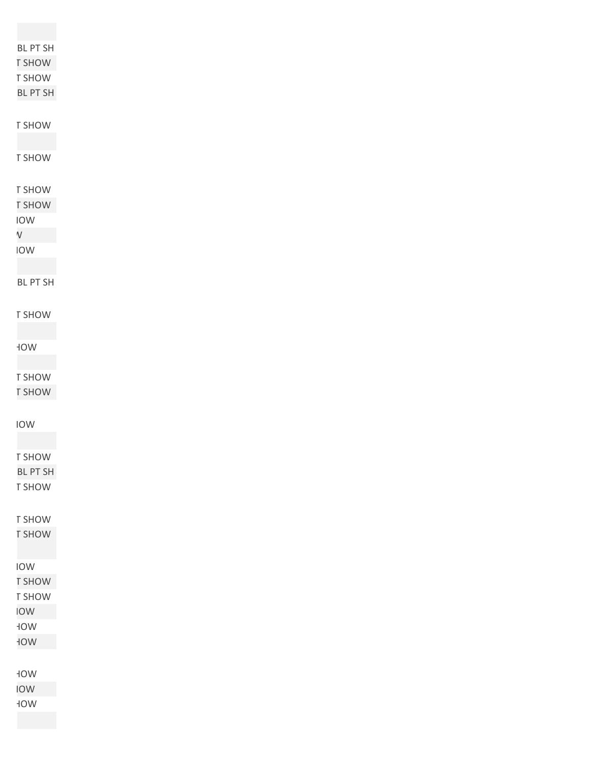| BL PT SH                         |
|----------------------------------|
| <b>T SHOW</b>                    |
| T SHOW                           |
| BL PT SH                         |
|                                  |
|                                  |
| T SHOW                           |
|                                  |
| T SHOW                           |
|                                  |
| T SHOW                           |
|                                  |
| <b>T SHOW</b>                    |
| IOW                              |
| $\mathsf{V}$                     |
| IOW                              |
|                                  |
| BL PT SH                         |
|                                  |
|                                  |
| T SHOW                           |
|                                  |
| $\mathsf{W}\mathsf{O}\mathsf{H}$ |
|                                  |
|                                  |
| T SHOW                           |
| <b>T SHOW</b>                    |
|                                  |
| IOW                              |
|                                  |
| T SHOW                           |
|                                  |
| BL PT SH                         |
| T SHOW                           |
|                                  |
| T SHOW                           |
| <b>T SHOW</b>                    |
|                                  |
|                                  |
| IOW                              |
| <b>T SHOW</b>                    |
| T SHOW                           |
| <b>NOI</b>                       |
| $\sf WOF$                        |
|                                  |
| WOF                              |
|                                  |
| WOF                              |
| <b>NOI</b>                       |
| $\sf WOF$                        |
|                                  |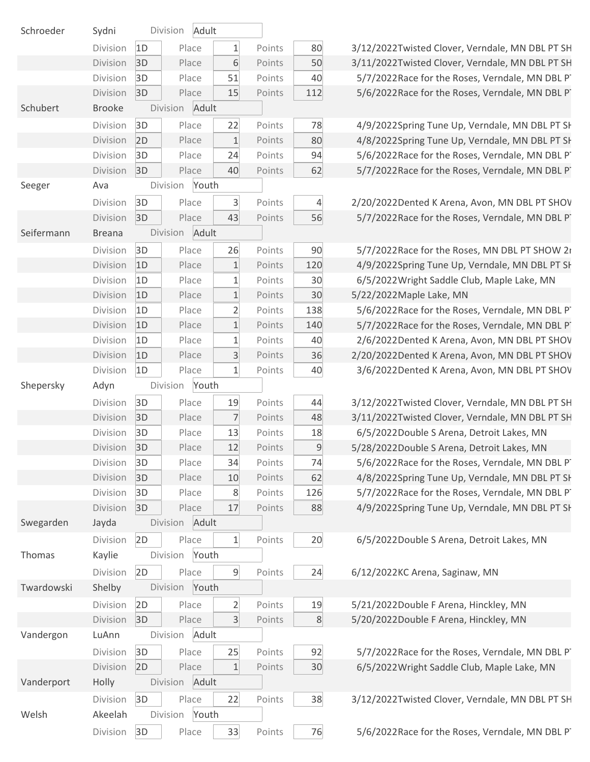| Schroeder  | Sydni         |    | Division<br>Adult |                |        |                |
|------------|---------------|----|-------------------|----------------|--------|----------------|
|            | Division      | 1D | Place             | $\mathbf{1}$   | Points | 80             |
|            | Division      | 3D | Place             | 6              | Points | 5 <sub>C</sub> |
|            | Division      | 3D | Place             | 51             | Points | 4 <sub>C</sub> |
|            | Division      | 3D | Place             | 15             | Points | 112            |
| Schubert   | <b>Brooke</b> |    | Adult<br>Division |                |        |                |
|            | Division      | 3D | Place             | 22             | Points | 78             |
|            | Division      | 2D | Place             | $\mathbf{1}$   | Points | 8C             |
|            | Division      | 3D | Place             | 24             | Points | 94             |
|            | Division      | 3D | Place             | 40             | Points | 62             |
| Seeger     | Ava           |    | Division<br>Youth |                |        |                |
|            | Division      | 3D | Place             | 3              | Points | 4              |
|            | Division      | 3D | Place             | 43             | Points | 56             |
| Seifermann | <b>Breana</b> |    | Adult<br>Division |                |        |                |
|            | Division      | 3D | Place             | 26             | Points | 90             |
|            | Division      | 1D | Place             | $\mathbf{1}$   | Points | 120            |
|            | Division      | 1D | Place             | $\mathbf{1}$   | Points | 3 <sub>C</sub> |
|            | Division      | 1D | Place             | $\mathbf 1$    | Points | 3 <sub>C</sub> |
|            | Division      | 1D | Place             | $\overline{2}$ | Points | 138            |
|            | Division      | 1D | Place             | $\mathbf 1$    | Points | 140            |
|            | Division      | 1D | Place             | $\mathbf 1$    | Points | 4 <sub>C</sub> |
|            | Division      | 1D | Place             | $\overline{3}$ | Points | 36             |
|            | Division      | 1D | Place             | 1              | Points | 4 <sub>C</sub> |
| Shepersky  | Adyn          |    | Division<br>Youth |                |        |                |
|            | Division      | 3D | Place             | 19             | Points | 44             |
|            | Division      | 3D | Place             | $\overline{7}$ | Points | 48             |
|            | Division      | 3D | Place             | 13             | Points | 18             |
|            | Division      | 3D | Place             | 12             | Points | $\mathsf{C}$   |
|            | Division      | 3D | Place             | 34             | Points | 74             |
|            | Division      | 3D | Place             | 10             | Points | 62             |
|            | Division      | 3D | Place             | 8              | Points | 126            |
|            | Division      | 3D | Place             | 17             | Points | 88             |
| Swegarden  | Jayda         |    | Adult<br>Division |                |        |                |
|            | Division      | 2D | Place             | $\mathbf{1}$   | Points | 20             |
| Thomas     | Kaylie        |    | Division<br>Youth |                |        |                |
|            | Division      | 2D | Place             | 9              | Points | 24             |
| Twardowski | Shelby        |    | Division<br>Youth |                |        |                |
|            | Division      | 2D | Place             | $\overline{2}$ | Points | 1 <sup>c</sup> |
|            | Division      | 3D | Place             | $\overline{3}$ | Points | 8              |
| Vandergon  | LuAnn         |    | Adult<br>Division |                |        |                |
|            | Division      | 3D | Place             | 25             | Points | 92             |
|            | Division      | 2D | Place             | $\mathbf{1}$   | Points | 3 <sup>C</sup> |
| Vanderport | Holly         |    | Adult<br>Division |                |        |                |
|            |               |    |                   | 22             | Points |                |
|            | Division      | 3D | Place             |                |        | 38             |
| Welsh      | Akeelah       |    | Division<br>Youth |                |        |                |

3/12/2022Twisted Clover, Verndale, MN DBL PT SH 3/11/2022Twisted Clover, Verndale, MN DBL PT SH 5/7/2022 Race for the Roses, Verndale, MN DBL PT 5/6/2022Race for the Roses, Verndale, MN DBL PT

4/9/2022Spring Tune Up, Verndale, MN DBL PT SH 4/8/2022Spring Tune Up, Verndale, MN DBL PT SH 5/6/2022Race for the Roses, Verndale, MN DBL PT 5/7/2022Race for the Roses, Verndale, MN DBL PT

2/20/2022Dented K Arena, Avon, MN DBL PT SHOV 5/7/2022Race for the Roses, Verndale, MN DBL PT

5/7/2022Race for the Roses, MN DBL PT SHOW 2rd 4/9/2022Spring Tune Up, Verndale, MN DBL PT SH 6/5/2022 Wright Saddle Club, Maple Lake, MN 5/22/2022Maple Lake, MN

5/6/2022Race for the Roses, Verndale, MN DBL PT 5/7/2022Race for the Roses, Verndale, MN DBL PT 2/6/2022Dented K Arena, Avon, MN DBL PT SHOV 2/20/2022Dented K Arena, Avon, MN DBL PT SHOV 3/6/2022Dented K Arena, Avon, MN DBL PT SHOV

3/12/2022Twisted Clover, Verndale, MN DBL PT SH 3/11/2022Twisted Clover, Verndale, MN DBL PT SH 6/5/2022Double S Arena, Detroit Lakes, MN

5/28/2022Double S Arena, Detroit Lakes, MN 5/6/2022Race for the Roses, Verndale, MN DBL PT 4/8/2022Spring Tune Up, Verndale, MN DBL PT SH 5/7/2022Race for the Roses, Verndale, MN DBL PT 4/9/2022Spring Tune Up, Verndale, MN DBL PT SH

6/5/2022Double S Arena, Detroit Lakes, MN

6/12/2022KC Arena, Saginaw, MN

5/21/2022Double F Arena, Hinckley, MN 5/20/2022Double F Arena, Hinckley, MN

5/7/2022Race for the Roses, Verndale, MN DBL PT 6/5/2022 Wright Saddle Club, Maple Lake, MN

3/12/2022Twisted Clover, Verndale, MN DBL PT SH

5/6/2022Race for the Roses, Verndale, MN DBL PT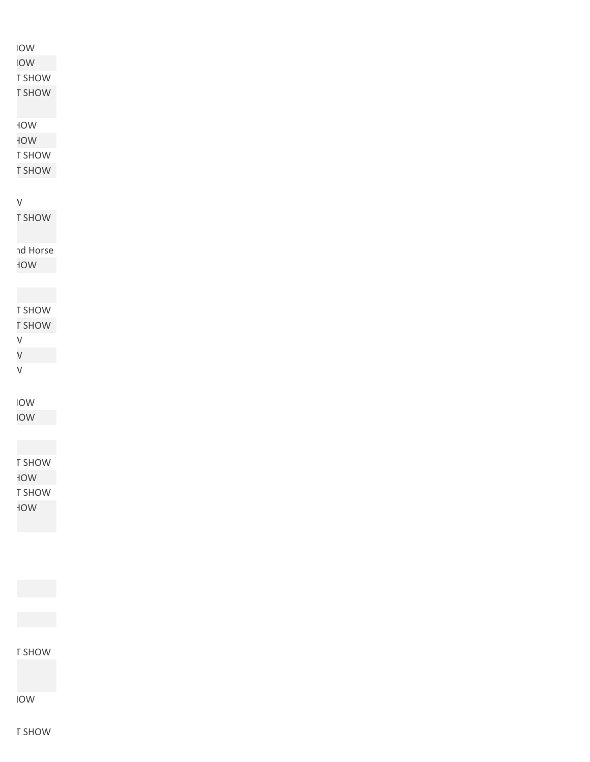## Towist Clove IOW

T SHOW

**T SHOW** 

**NOW** 

WOF

T SHOW

**T SHOW** 

Dented K Arena, Avon, MN DBL PT SHOW

**T SHOW** 

าd Horse

WOF

T SHOW **T SHOW** 

Dented K Arena, Avon, MN DBL PT SHOW

 $\mathsf{V}$ 

 $\mathsf{V}$ 

**TOW** 

**TOW** 

T SHOW WOF T SHOW WOF

T SHOW

**TOW** 

T SHOW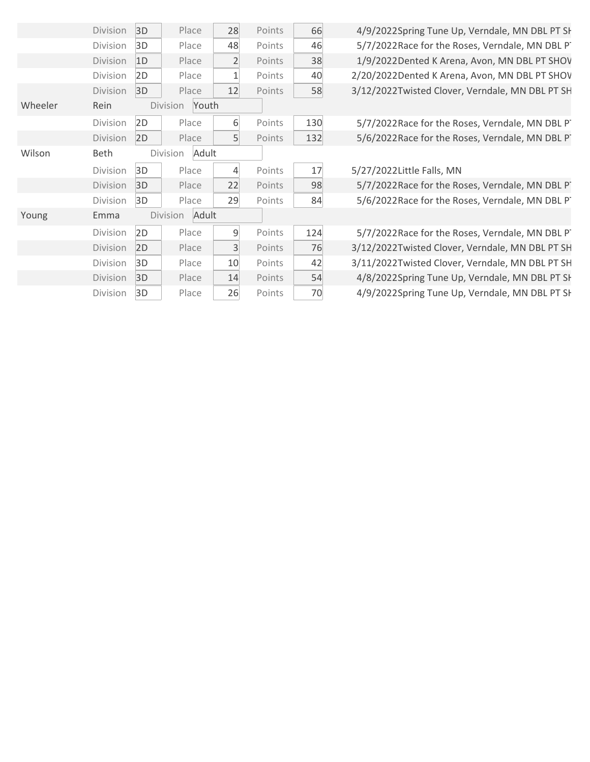|         | Division        | 3D | Place             | 28             | Points | 66  |
|---------|-----------------|----|-------------------|----------------|--------|-----|
|         | Division        | 3D | Place             | 48             | Points | 46  |
|         | Division        | 1D | Place             | $\overline{2}$ | Points | 38  |
|         | Division        | 2D | Place             | $\mathbf{1}$   | Points | 40  |
|         | Division        | 3D | Place             | 12             | Points | 58  |
| Wheeler | Rein            |    | Youth<br>Division |                |        |     |
|         | Division        | 2D | Place             | 6              | Points | 130 |
|         | <b>Division</b> | 2D | Place             | 5              | Points | 132 |
| Wilson  | <b>Beth</b>     |    | Adult<br>Division |                |        |     |
|         | Division        | 3D | Place             | 4              | Points | 17  |
|         | Division        | 3D | Place             | 22             | Points | 98  |
|         | Division        | 3D | Place             | 29             | Points | 84  |
| Young   | Emma            |    | Division<br>Adult |                |        |     |
|         | Division        | 2D | Place             | 9              | Points | 124 |
|         | <b>Division</b> | 2D | Place             | 3              | Points | 76  |
|         | Division        | 3D | Place             | 10             | Points | 42  |
|         | Division        | 3D | Place             | 14             | Points | 54  |
|         | Division        | 3D | Place             | 26             | Points | 70  |

4/9/2022Spring Tune Up, Verndale, MN DBL PT SH 5/7/2022Race for the Roses, Verndale, MN DBL PT 1/9/2022Dented K Arena, Avon, MN DBL PT SHOV 2/20/2022Dented K Arena, Avon, MN DBL PT SHOV 3/12/2022Twisted Clover, Verndale, MN DBL PT SH

5/7/2022Race for the Roses, Verndale, MN DBL PT 5/6/2022Race for the Roses, Verndale, MN DBL PT

5/27/2022Little Falls, MN

5/7/2022Race for the Roses, Verndale, MN DBL PT 5/6/2022Race for the Roses, Verndale, MN DBL PT

5/7/2022Race for the Roses, Verndale, MN DBL PT 3/12/2022Twisted Clover, Verndale, MN DBL PT SH 3/11/2022Twisted Clover, Verndale, MN DBL PT SH 4/8/2022Spring Tune Up, Verndale, MN DBL PT SH 4/9/2022Spring Tune Up, Verndale, MN DBL PT SH